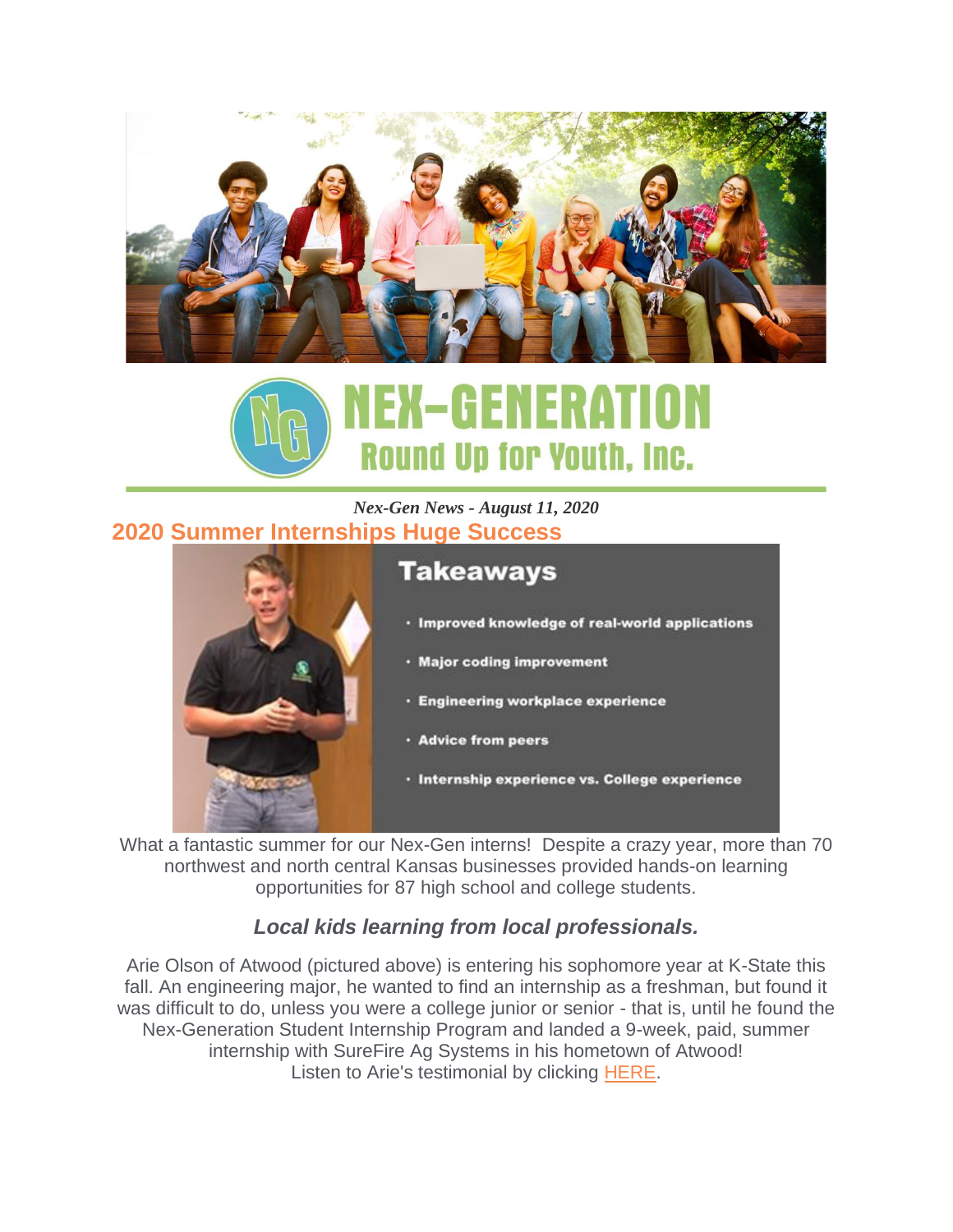



#### *Nex-Gen News - August 11, 2020* **2020 Summer Internships Huge Success**



- · Improved knowledge of real-world applications
- · Major coding improvement
- · Engineering workplace experience
- · Advice from peers
- · Internship experience vs. College experience

What a fantastic summer for our Nex-Gen interns! Despite a crazy year, more than 70 northwest and north central Kansas businesses provided hands-on learning opportunities for 87 high school and college students.

### *Local kids learning from local professionals.*

Arie Olson of Atwood (pictured above) is entering his sophomore year at K-State this fall. An engineering major, he wanted to find an internship as a freshman, but found it was difficult to do, unless you were a college junior or senior - that is, until he found the Nex-Generation Student Internship Program and landed a 9-week, paid, summer internship with SureFire Ag Systems in his hometown of Atwood! Listen to Arie's testimonial by clicking [HERE.](https://youtu.be/x62w_Gr2xvc)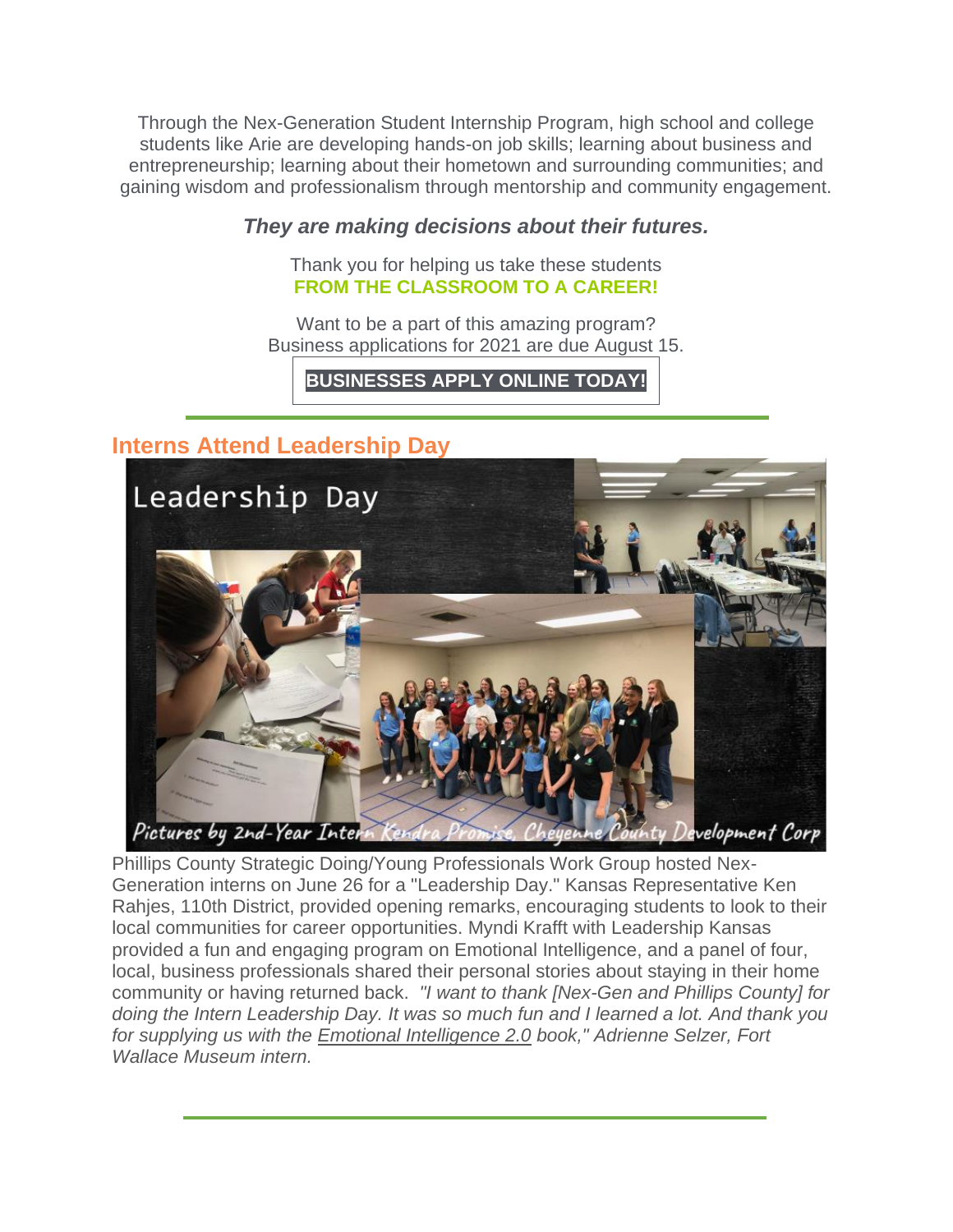Through the Nex-Generation Student Internship Program, high school and college students like Arie are developing hands-on job skills; learning about business and entrepreneurship; learning about their hometown and surrounding communities; and gaining wisdom and professionalism through mentorship and community engagement.

#### *They are making decisions about their futures.*

Thank you for helping us take these students **FROM THE CLASSROOM TO A CAREER!**

Want to be a part of this amazing program? Business applications for 2021 are due August 15.

**[BUSINESSES](https://www.nex-generation.org/internships) APPLY ONLINE TODAY!**

# **Interns Attend Leadership Day**



Phillips County Strategic Doing/Young Professionals Work Group hosted Nex-Generation interns on June 26 for a "Leadership Day." Kansas Representative Ken Rahjes, 110th District, provided opening remarks, encouraging students to look to their local communities for career opportunities. Myndi Krafft with Leadership Kansas provided a fun and engaging program on Emotional Intelligence, and a panel of four, local, business professionals shared their personal stories about staying in their home community or having returned back. *"I want to thank [Nex-Gen and Phillips County] for doing the Intern Leadership Day. It was so much fun and I learned a lot. And thank you for supplying us with the Emotional Intelligence 2.0 book," Adrienne Selzer, Fort Wallace Museum intern.*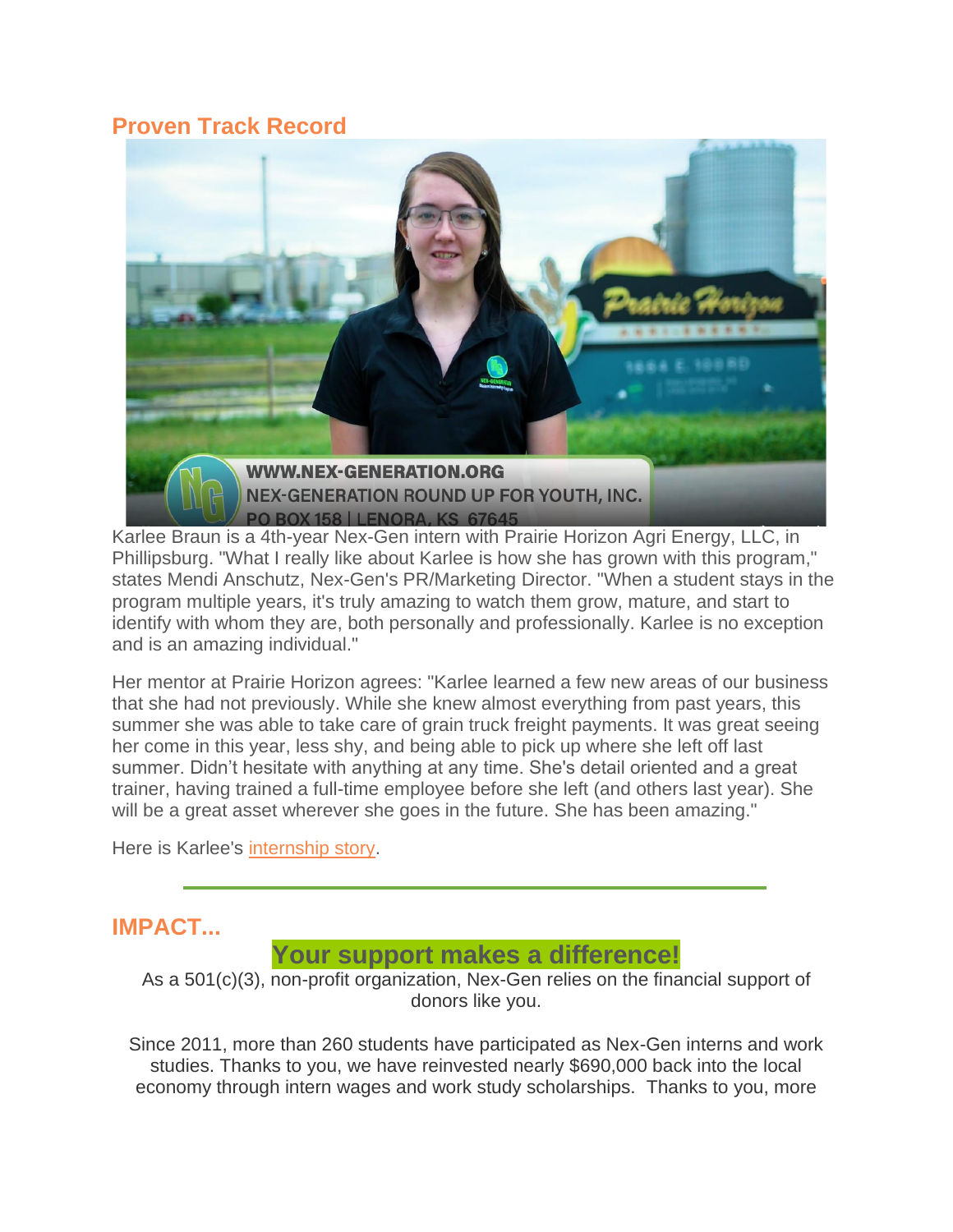## **Proven Track Record**



Karlee Braun is a 4th-year Nex-Gen intern with Prairie Horizon Agri Energy, LLC, in Phillipsburg. "What I really like about Karlee is how she has grown with this program," states Mendi Anschutz, Nex-Gen's PR/Marketing Director. "When a student stays in the program multiple years, it's truly amazing to watch them grow, mature, and start to identify with whom they are, both personally and professionally. Karlee is no exception and is an amazing individual."

Her mentor at Prairie Horizon agrees: "Karlee learned a few new areas of our business that she had not previously. While she knew almost everything from past years, this summer she was able to take care of grain truck freight payments. It was great seeing her come in this year, less shy, and being able to pick up where she left off last summer. Didn't hesitate with anything at any time. She's detail oriented and a great trainer, having trained a full-time employee before she left (and others last year). She will be a great asset wherever she goes in the future. She has been amazing."

Here is Karlee's [internship story.](https://www.youtube.com/watch?v=uCr4VVbHSHc&feature=youtu.be)

## **IMPACT...**

### **Your support makes a difference!**

As a 501(c)(3), non-profit organization, Nex-Gen relies on the financial support of donors like you.

Since 2011, more than 260 students have participated as Nex-Gen interns and work studies. Thanks to you, we have reinvested nearly \$690,000 back into the local economy through intern wages and work study scholarships. Thanks to you, more